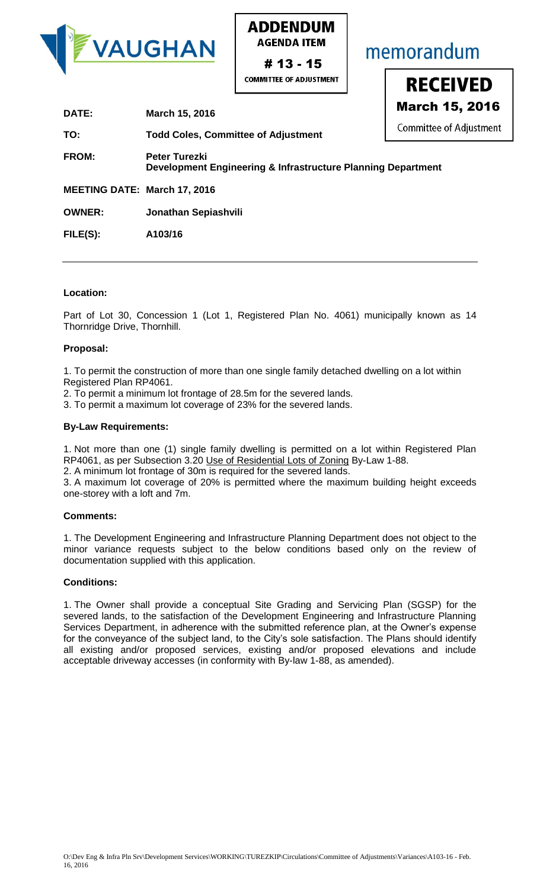

**ADDENDUM AGENDA ITEM** 

 $\begin{array}{|c|c|c|}\n \hline\n \text{MCMM} & \text{MCMM} & \text{MCMM} & \text{MCMM} \\
\hline\n \text{MCMMITTEE OF ADJUSIMENT} & & & & \text{NECEIVED} \\
\hline\n \text{March 15. 2016}\n \end{array}$ stment

| DATE:                               | March 15, 2016                                                                       | <b>March 15, 2</b> |
|-------------------------------------|--------------------------------------------------------------------------------------|--------------------|
| TO:                                 | <b>Todd Coles, Committee of Adjustment</b>                                           | Committee of Adju  |
| <b>FROM:</b>                        | <b>Peter Turezki</b><br>Development Engineering & Infrastructure Planning Department |                    |
| <b>MEETING DATE: March 17, 2016</b> |                                                                                      |                    |
| <b>OWNER:</b>                       | Jonathan Sepiashvili                                                                 |                    |
| FILE(S):                            | A103/16                                                                              |                    |
|                                     |                                                                                      |                    |

# **Location:**

Part of Lot 30, Concession 1 (Lot 1, Registered Plan No. 4061) municipally known as 14 Thornridge Drive, Thornhill.

# **Proposal:**

1. To permit the construction of more than one single family detached dwelling on a lot within Registered Plan RP4061.

- 2. To permit a minimum lot frontage of 28.5m for the severed lands.
- 3. To permit a maximum lot coverage of 23% for the severed lands.

# **By-Law Requirements:**

1. Not more than one (1) single family dwelling is permitted on a lot within Registered Plan RP4061, as per Subsection 3.20 Use of Residential Lots of Zoning By-Law 1-88.

2. A minimum lot frontage of 30m is required for the severed lands.

3. A maximum lot coverage of 20% is permitted where the maximum building height exceeds one-storey with a loft and 7m.

# **Comments:**

1. The Development Engineering and Infrastructure Planning Department does not object to the minor variance requests subject to the below conditions based only on the review of documentation supplied with this application.

# **Conditions:**

1. The Owner shall provide a conceptual Site Grading and Servicing Plan (SGSP) for the severed lands, to the satisfaction of the Development Engineering and Infrastructure Planning Services Department, in adherence with the submitted reference plan, at the Owner's expense for the conveyance of the subject land, to the City's sole satisfaction. The Plans should identify all existing and/or proposed services, existing and/or proposed elevations and include acceptable driveway accesses (in conformity with By-law 1-88, as amended).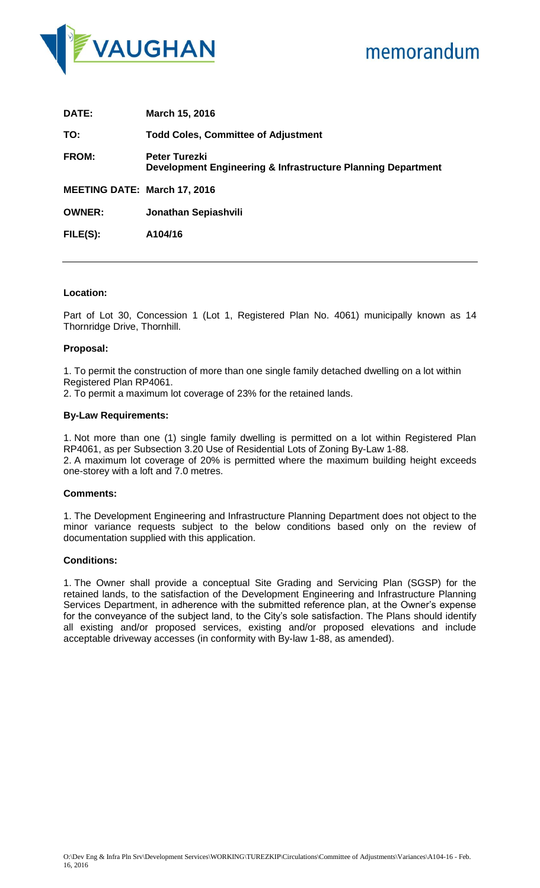

| DATE:                               | March 15, 2016                                                                       |
|-------------------------------------|--------------------------------------------------------------------------------------|
| TO:                                 | <b>Todd Coles, Committee of Adjustment</b>                                           |
| <b>FROM:</b>                        | <b>Peter Turezki</b><br>Development Engineering & Infrastructure Planning Department |
| <b>MEETING DATE: March 17, 2016</b> |                                                                                      |
| <b>OWNER:</b>                       | Jonathan Sepiashvili                                                                 |
| FILE(S):                            | A104/16                                                                              |

# **Location:**

Part of Lot 30, Concession 1 (Lot 1, Registered Plan No. 4061) municipally known as 14 Thornridge Drive, Thornhill.

### **Proposal:**

1. To permit the construction of more than one single family detached dwelling on a lot within Registered Plan RP4061.

2. To permit a maximum lot coverage of 23% for the retained lands.

### **By-Law Requirements:**

1. Not more than one (1) single family dwelling is permitted on a lot within Registered Plan RP4061, as per Subsection 3.20 Use of Residential Lots of Zoning By-Law 1-88. 2. A maximum lot coverage of 20% is permitted where the maximum building height exceeds one-storey with a loft and 7.0 metres.

# **Comments:**

1. The Development Engineering and Infrastructure Planning Department does not object to the minor variance requests subject to the below conditions based only on the review of documentation supplied with this application.

#### **Conditions:**

1. The Owner shall provide a conceptual Site Grading and Servicing Plan (SGSP) for the retained lands, to the satisfaction of the Development Engineering and Infrastructure Planning Services Department, in adherence with the submitted reference plan, at the Owner's expense for the conveyance of the subject land, to the City's sole satisfaction. The Plans should identify all existing and/or proposed services, existing and/or proposed elevations and include acceptable driveway accesses (in conformity with By-law 1-88, as amended).